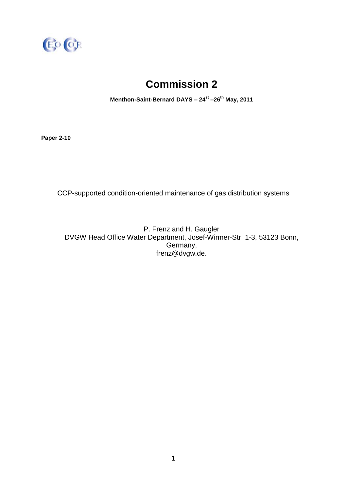

# **Commission 2**

**Menthon-Saint-Bernard DAYS – 24st –26th May, 2011**

**Paper 2-10**

CCP-supported condition-oriented maintenance of gas distribution systems

P. Frenz and H. Gaugler DVGW Head Office Water Department, Josef-Wirmer-Str. 1-3, 53123 Bonn, Germany, frenz@dvgw.de.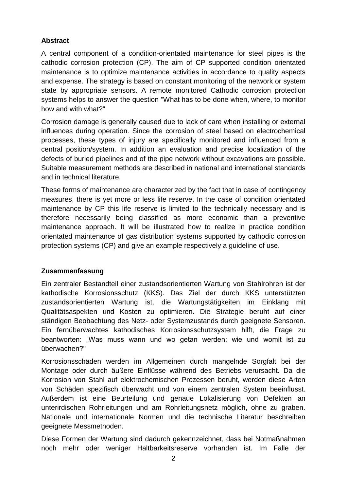## **Abstract**

A central component of a condition-orientated maintenance for steel pipes is the cathodic corrosion protection (CP). The aim of CP supported condition orientated maintenance is to optimize maintenance activities in accordance to quality aspects and expense. The strategy is based on constant monitoring of the network or system state by appropriate sensors. A remote monitored Cathodic corrosion protection systems helps to answer the question "What has to be done when, where, to monitor how and with what?"

Corrosion damage is generally caused due to lack of care when installing or external influences during operation. Since the corrosion of steel based on electrochemical processes, these types of injury are specifically monitored and influenced from a central position/system. In addition an evaluation and precise localization of the defects of buried pipelines and of the pipe network without excavations are possible. Suitable measurement methods are described in national and international standards and in technical literature.

These forms of maintenance are characterized by the fact that in case of [contingency](http://dict.leo.org/ende?lp=ende&p=Ci4HO3kMAA&search=contingency&trestr=0x801) [measures,](http://dict.leo.org/ende?lp=ende&p=Ci4HO3kMAA&search=measures&trestr=0x801) there is yet more or less life reserve. In the case of condition orientated maintenance by CP this life reserve is limited to the technically necessary and is therefore necessarily being classified as more economic than a preventive maintenance approach. It will be illustrated how to realize in practice condition orientated maintenance of gas distribution systems supported by cathodic corrosion protection systems (CP) and give an example respectively a guideline of use.

#### **Zusammenfassung**

Ein zentraler Bestandteil einer zustandsorientierten Wartung von Stahlrohren ist der kathodische Korrosionsschutz (KKS). Das Ziel der durch KKS unterstützten zustandsorientierten Wartung ist, die Wartungstätigkeiten im Einklang mit Qualitätsaspekten und Kosten zu optimieren. Die Strategie beruht auf einer ständigen Beobachtung des Netz- oder Systemzustands durch geeignete Sensoren. Ein fernüberwachtes kathodisches Korrosionsschutzsystem hilft, die Frage zu beantworten: "Was muss wann und wo getan werden; wie und womit ist zu überwachen?"

Korrosionsschäden werden im Allgemeinen durch mangelnde Sorgfalt bei der Montage oder durch äußere Einflüsse während des Betriebs verursacht. Da die Korrosion von Stahl auf elektrochemischen Prozessen beruht, werden diese Arten von Schäden spezifisch überwacht und von einem zentralen System beeinflusst. Außerdem ist eine Beurteilung und genaue Lokalisierung von Defekten an unterirdischen Rohrleitungen und am Rohrleitungsnetz möglich, ohne zu graben. Nationale und internationale Normen und die technische Literatur beschreiben geeignete Messmethoden.

Diese Formen der Wartung sind dadurch gekennzeichnet, dass bei Notmaßnahmen noch mehr oder weniger Haltbarkeitsreserve vorhanden ist. Im Falle der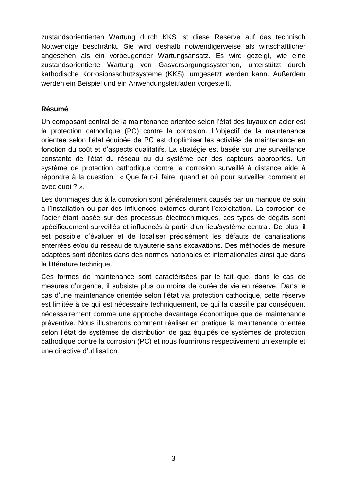zustandsorientierten Wartung durch KKS ist diese Reserve auf das technisch Notwendige beschränkt. Sie wird deshalb notwendigerweise als wirtschaftlicher angesehen als ein vorbeugender Wartungsansatz. Es wird gezeigt, wie eine zustandsorientierte Wartung von Gasversorgungssystemen, unterstützt durch kathodische Korrosionsschutzsysteme (KKS), umgesetzt werden kann. Außerdem werden ein Beispiel und ein Anwendungsleitfaden vorgestellt.

#### **Résumé**

Un composant central de la maintenance orientée selon l'état des tuyaux en acier est la protection cathodique (PC) contre la corrosion. L'objectif de la maintenance orientée selon l'état équipée de PC est d'optimiser les activités de maintenance en fonction du coût et d'aspects qualitatifs. La stratégie est basée sur une surveillance constante de l'état du réseau ou du système par des capteurs appropriés. Un système de protection cathodique contre la corrosion surveillé à distance aide à répondre à la question : « Que faut-il faire, quand et où pour surveiller comment et avec quoi ? ».

Les dommages dus à la corrosion sont généralement causés par un manque de soin à l'installation ou par des influences externes durant l'exploitation. La corrosion de l'acier étant basée sur des processus électrochimiques, ces types de dégâts sont spécifiquement surveillés et influencés à partir d'un lieu/système central. De plus, il est possible d'évaluer et de localiser précisément les défauts de canalisations enterrées et/ou du réseau de tuyauterie sans excavations. Des méthodes de mesure adaptées sont décrites dans des normes nationales et internationales ainsi que dans la littérature technique.

Ces formes de maintenance sont caractérisées par le fait que, dans le cas de mesures d'urgence, il subsiste plus ou moins de durée de vie en réserve. Dans le cas d'une maintenance orientée selon l'état via protection cathodique, cette réserve est limitée à ce qui est nécessaire techniquement, ce qui la classifie par conséquent nécessairement comme une approche davantage économique que de maintenance préventive. Nous illustrerons comment réaliser en pratique la maintenance orientée selon l'état de systèmes de distribution de gaz équipés de systèmes de protection cathodique contre la corrosion (PC) et nous fournirons respectivement un exemple et une directive d'utilisation.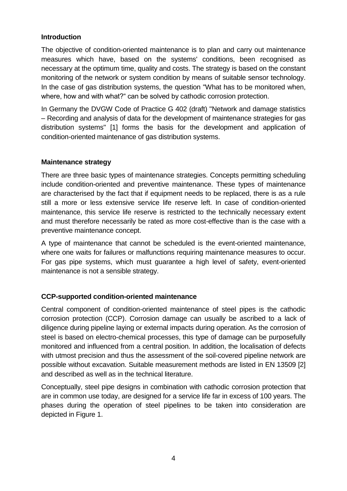#### **Introduction**

The objective of condition-oriented maintenance is to plan and carry out maintenance measures which have, based on the systems' conditions, been recognised as necessary at the optimum time, quality and costs. The strategy is based on the constant monitoring of the network or system condition by means of suitable sensor technology. In the case of gas distribution systems, the question "What has to be monitored when, where, how and with what?" can be solved by cathodic corrosion protection.

In Germany the DVGW Code of Practice G 402 (draft) "Network and damage statistics – Recording and analysis of data for the development of maintenance strategies for gas distribution systems" [1] forms the basis for the development and application of condition-oriented maintenance of gas distribution systems.

#### **Maintenance strategy**

There are three basic types of maintenance strategies. Concepts permitting scheduling include condition-oriented and preventive maintenance. These types of maintenance are characterised by the fact that if equipment needs to be replaced, there is as a rule still a more or less extensive service life reserve left. In case of condition-oriented maintenance, this service life reserve is restricted to the technically necessary extent and must therefore necessarily be rated as more cost-effective than is the case with a preventive maintenance concept.

A type of maintenance that cannot be scheduled is the event-oriented maintenance, where one waits for failures or malfunctions requiring maintenance measures to occur. For gas pipe systems, which must guarantee a high level of safety, event-oriented maintenance is not a sensible strategy.

#### **CCP-supported condition-oriented maintenance**

Central component of condition-oriented maintenance of steel pipes is the cathodic corrosion protection (CCP). Corrosion damage can usually be ascribed to a lack of diligence during pipeline laying or external impacts during operation. As the corrosion of steel is based on electro-chemical processes, this type of damage can be purposefully monitored and influenced from a central position. In addition, the localisation of defects with utmost precision and thus the assessment of the soil-covered pipeline network are possible without excavation. Suitable measurement methods are listed in EN 13509 [2] and described as well as in the technical literature.

Conceptually, steel pipe designs in combination with cathodic corrosion protection that are in common use today, are designed for a service life far in excess of 100 years. The phases during the operation of steel pipelines to be taken into consideration are depicted in Figure 1.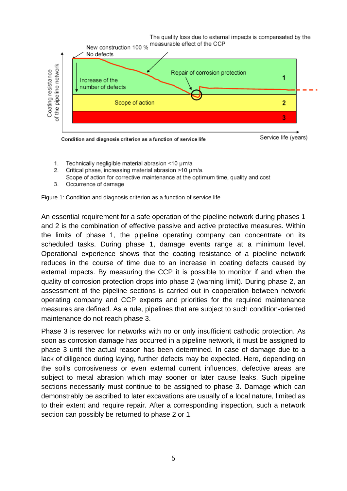

- Technically negligible material abrasion <10 um/a  $1.$
- 2 Critical phase, increasing material abrasion >10 µm/a.
- Scope of action for corrective maintenance at the optimum time, quality and cost
- 3. Occurrence of damage



An essential requirement for a safe operation of the pipeline network during phases 1 and 2 is the combination of effective passive and active protective measures. Within the limits of phase 1, the pipeline operating company can concentrate on its scheduled tasks. During phase 1, damage events range at a minimum level. Operational experience shows that the coating resistance of a pipeline network reduces in the course of time due to an increase in coating defects caused by external impacts. By measuring the CCP it is possible to monitor if and when the quality of corrosion protection drops into phase 2 (warning limit). During phase 2, an assessment of the pipeline sections is carried out in cooperation between network operating company and CCP experts and priorities for the required maintenance measures are defined. As a rule, pipelines that are subject to such condition-oriented maintenance do not reach phase 3.

Phase 3 is reserved for networks with no or only insufficient cathodic protection. As soon as corrosion damage has occurred in a pipeline network, it must be assigned to phase 3 until the actual reason has been determined. In case of damage due to a lack of diligence during laying, further defects may be expected. Here, depending on the soil's corrosiveness or even external current influences, defective areas are subject to metal abrasion which may sooner or later cause leaks. Such pipeline sections necessarily must continue to be assigned to phase 3. Damage which can demonstrably be ascribed to later excavations are usually of a local nature, limited as to their extent and require repair. After a corresponding inspection, such a network section can possibly be returned to phase 2 or 1.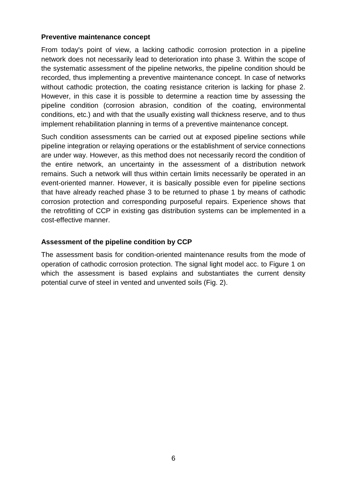#### **Preventive maintenance concept**

From today's point of view, a lacking cathodic corrosion protection in a pipeline network does not necessarily lead to deterioration into phase 3. Within the scope of the systematic assessment of the pipeline networks, the pipeline condition should be recorded, thus implementing a preventive maintenance concept. In case of networks without cathodic protection, the coating resistance criterion is lacking for phase 2. However, in this case it is possible to determine a reaction time by assessing the pipeline condition (corrosion abrasion, condition of the coating, environmental conditions, etc.) and with that the usually existing wall thickness reserve, and to thus implement rehabilitation planning in terms of a preventive maintenance concept.

Such condition assessments can be carried out at exposed pipeline sections while pipeline integration or relaying operations or the establishment of service connections are under way. However, as this method does not necessarily record the condition of the entire network, an uncertainty in the assessment of a distribution network remains. Such a network will thus within certain limits necessarily be operated in an event-oriented manner. However, it is basically possible even for pipeline sections that have already reached phase 3 to be returned to phase 1 by means of cathodic corrosion protection and corresponding purposeful repairs. Experience shows that the retrofitting of CCP in existing gas distribution systems can be implemented in a cost-effective manner.

#### **Assessment of the pipeline condition by CCP**

The assessment basis for condition-oriented maintenance results from the mode of operation of cathodic corrosion protection. The signal light model acc. to Figure 1 on which the assessment is based explains and substantiates the current density potential curve of steel in vented and unvented soils (Fig. 2).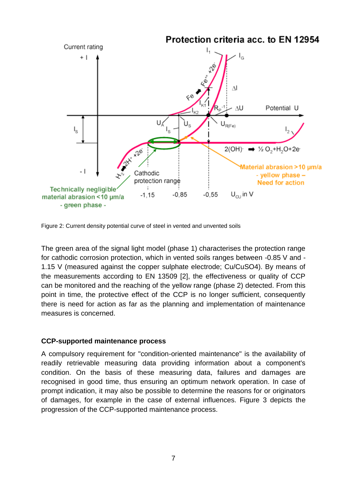

Figure 2: Current density potential curve of steel in vented and unvented soils

The green area of the signal light model (phase 1) characterises the protection range for cathodic corrosion protection, which in vented soils ranges between -0.85 V and - 1.15 V (measured against the copper sulphate electrode; Cu/CuSO4). By means of the measurements according to EN 13509 [2], the effectiveness or quality of CCP can be monitored and the reaching of the yellow range (phase 2) detected. From this point in time, the protective effect of the CCP is no longer sufficient, consequently there is need for action as far as the planning and implementation of maintenance measures is concerned.

#### **CCP-supported maintenance process**

A compulsory requirement for "condition-oriented maintenance" is the availability of readily retrievable measuring data providing information about a component's condition. On the basis of these measuring data, failures and damages are recognised in good time, thus ensuring an optimum network operation. In case of prompt indication, it may also be possible to determine the reasons for or originators of damages, for example in the case of external influences. Figure 3 depicts the progression of the CCP-supported maintenance process.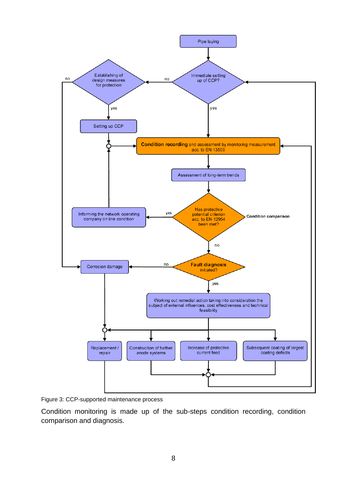

Figure 3: CCP-supported maintenance process

Condition monitoring is made up of the sub-steps condition recording, condition comparison and diagnosis.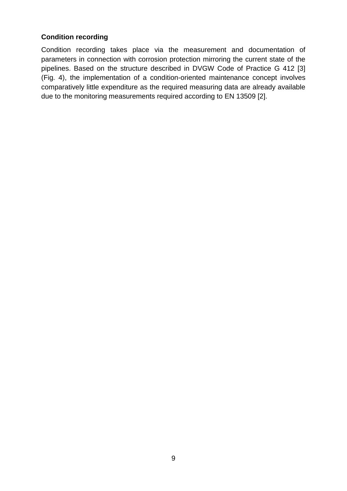## **Condition recording**

Condition recording takes place via the measurement and documentation of parameters in connection with corrosion protection mirroring the current state of the pipelines. Based on the structure described in DVGW Code of Practice G 412 [3] (Fig. 4), the implementation of a condition-oriented maintenance concept involves comparatively little expenditure as the required measuring data are already available due to the monitoring measurements required according to EN 13509 [2].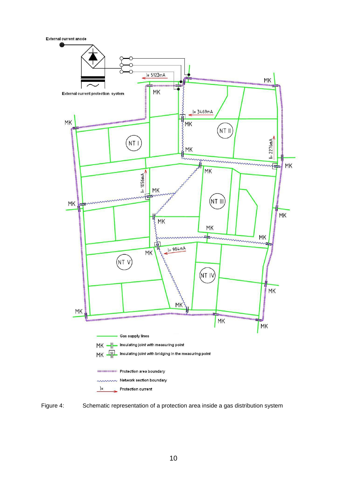

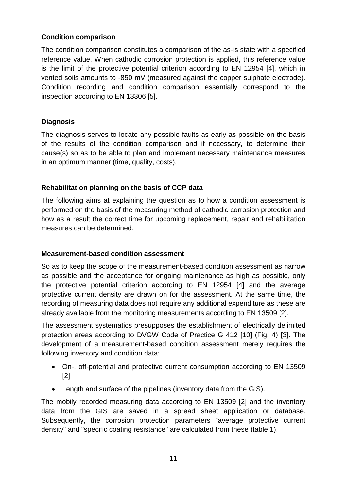## **Condition comparison**

The condition comparison constitutes a comparison of the as-is state with a specified reference value. When cathodic corrosion protection is applied, this reference value is the limit of the protective potential criterion according to EN 12954 [4], which in vented soils amounts to -850 mV (measured against the copper sulphate electrode). Condition recording and condition comparison essentially correspond to the inspection according to EN 13306 [5].

# **Diagnosis**

The diagnosis serves to locate any possible faults as early as possible on the basis of the results of the condition comparison and if necessary, to determine their cause(s) so as to be able to plan and implement necessary maintenance measures in an optimum manner (time, quality, costs).

# **Rehabilitation planning on the basis of CCP data**

The following aims at explaining the question as to how a condition assessment is performed on the basis of the measuring method of cathodic corrosion protection and how as a result the correct time for upcoming replacement, repair and rehabilitation measures can be determined.

#### **Measurement-based condition assessment**

So as to keep the scope of the measurement-based condition assessment as narrow as possible and the acceptance for ongoing maintenance as high as possible, only the protective potential criterion according to EN 12954 [4] and the average protective current density are drawn on for the assessment. At the same time, the recording of measuring data does not require any additional expenditure as these are already available from the monitoring measurements according to EN 13509 [2].

The assessment systematics presupposes the establishment of electrically delimited protection areas according to DVGW Code of Practice G 412 [10] (Fig. 4) [3]. The development of a measurement-based condition assessment merely requires the following inventory and condition data:

- On-, off-potential and protective current consumption according to EN 13509 [2]
- Length and surface of the pipelines (inventory data from the GIS).

The mobily recorded measuring data according to EN 13509 [2] and the inventory data from the GIS are saved in a spread sheet application or database. Subsequently, the corrosion protection parameters "average protective current density" and "specific coating resistance" are calculated from these (table 1).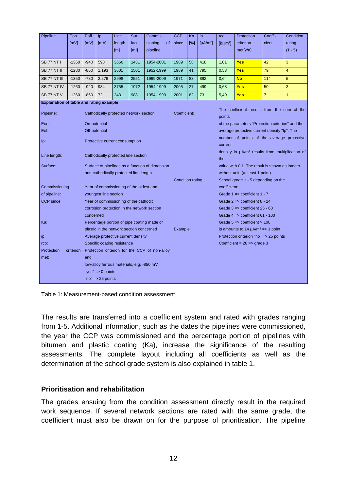| Pipeline                                                                                     | Eon                                                      | Eoff                                          | Ip           | Line             | Sur-                | Commis-                                                                  | <b>CCP</b>                                     | Ka                                                           | ip                               | rco                                                   | Protection                                       | Coeffi-        | Condition      |
|----------------------------------------------------------------------------------------------|----------------------------------------------------------|-----------------------------------------------|--------------|------------------|---------------------|--------------------------------------------------------------------------|------------------------------------------------|--------------------------------------------------------------|----------------------------------|-------------------------------------------------------|--------------------------------------------------|----------------|----------------|
|                                                                                              | [mV]                                                     | [mV]                                          | [mA]         | length           | face                | sioning<br>of                                                            | since                                          | [%]                                                          | $[\mu A/m^2]$                    | $[k \square m^2]$                                     | criterion                                        | cient          | rating         |
|                                                                                              |                                                          |                                               |              | [ <sub>m</sub> ] | $\lceil m^2 \rceil$ | pipeline                                                                 |                                                |                                                              |                                  |                                                       | met(y/n)                                         |                | $(1 - 5)$      |
| <b>SB 77 NT I</b>                                                                            | $-1360$                                                  | $-940$                                        | 598          | 3666             | 1431                | 1954-2001                                                                | 1989                                           | 58                                                           | 418                              | 1,01                                                  | <b>Yes</b>                                       | 42             | 3              |
| SB 77 NT II                                                                                  | $-1280$                                                  | $-860$                                        | 1.193        | 3601             | 1501                | 1952-1999                                                                | 1989                                           | 41                                                           | 795                              | 0,53                                                  | <b>Yes</b>                                       | 79             | $\overline{4}$ |
| SB 77 NT III                                                                                 | $-1350$                                                  | $-780$                                        | 2.276        | 2998             | 2551                | 1969-2009                                                                | 1971                                           | 83                                                           | 892                              | 0,64                                                  | <b>No</b>                                        | 114            | 5              |
| SB 77 NT IV                                                                                  | $-1260$                                                  | $-920$                                        | 984          | 3755             | 1972                | 1954-1999                                                                | 2005                                           | 27                                                           | 499                              | 0,68                                                  | <b>Yes</b>                                       | 50             | 3              |
| SB 77 NT V                                                                                   | $-1260$                                                  | $-860$                                        | 72           | 2431             | 988                 | 1954-1999                                                                | 2001                                           | 82                                                           | 73                               | 5,49                                                  | Yes                                              | $\overline{7}$ | $\mathbf{1}$   |
| <b>Explanation of table and rating example</b>                                               |                                                          |                                               |              |                  |                     |                                                                          |                                                |                                                              |                                  |                                                       |                                                  |                |                |
| Pipeline:                                                                                    | Cathodically protected network section                   |                                               |              |                  |                     |                                                                          | Coefficient:                                   |                                                              |                                  | The coefficient results from the sum of the<br>points |                                                  |                |                |
| Eon:                                                                                         |                                                          |                                               | On-potential |                  |                     |                                                                          |                                                |                                                              |                                  |                                                       | of the parameters "Protection criterion" and the |                |                |
| Eoff:                                                                                        |                                                          | Off-potential                                 |              |                  |                     |                                                                          |                                                | average protective current density "lp". The                 |                                  |                                                       |                                                  |                |                |
| lp:                                                                                          | Protective current consumption                           |                                               |              |                  |                     |                                                                          |                                                | number of points of the average protective<br>current        |                                  |                                                       |                                                  |                |                |
| Line length:                                                                                 | Cathodically protected line section                      |                                               |              |                  |                     |                                                                          |                                                | density in $\mu A/m^2$ results from multiplication of<br>the |                                  |                                                       |                                                  |                |                |
| Surface:                                                                                     | Surface of pipelines as a function of dimension          |                                               |              |                  |                     |                                                                          | value with 0.1. The result is shown as integer |                                                              |                                  |                                                       |                                                  |                |                |
|                                                                                              | and cathodically protected line length                   |                                               |              |                  |                     |                                                                          |                                                |                                                              | without unit (at least 1 point). |                                                       |                                                  |                |                |
|                                                                                              |                                                          |                                               |              |                  |                     | Condition rating:<br>School grade 1 - 5 depending on the<br>coefficient: |                                                |                                                              |                                  |                                                       |                                                  |                |                |
| Commissioning                                                                                | Year of commissioning of the oldest and                  |                                               |              |                  |                     |                                                                          | Grade $1 \Rightarrow$ coefficient $1 - 7$      |                                                              |                                  |                                                       |                                                  |                |                |
| of pipeline:<br>youngest line section<br>CCP since:<br>Year of commissioning of the cathodic |                                                          |                                               |              |                  |                     |                                                                          |                                                |                                                              |                                  | Grade $2 \Rightarrow$ coefficient $8 - 24$            |                                                  |                |                |
|                                                                                              |                                                          |                                               |              |                  |                     |                                                                          | Grade $3 \Rightarrow$ coefficient $25 - 60$    |                                                              |                                  |                                                       |                                                  |                |                |
|                                                                                              | corrosion protection in the network section<br>concerned |                                               |              |                  |                     |                                                                          |                                                | Grade $4 \Rightarrow$ coefficient $61 - 100$                 |                                  |                                                       |                                                  |                |                |
| Ka:                                                                                          | Percentage portion of pipe coating made of               |                                               |              |                  |                     |                                                                          |                                                |                                                              |                                  | Grade $5 \Rightarrow$ coefficient $> 100$             |                                                  |                |                |
|                                                                                              |                                                          | plastic in the network section concerned      |              |                  |                     |                                                                          |                                                | Example:                                                     |                                  | ip amounts to 14 $\mu$ A/m <sup>2</sup> = > 1 point   |                                                  |                |                |
| ip:                                                                                          |                                                          | Average protective current density            |              |                  |                     |                                                                          |                                                | Protection criterion "no" => 25 points                       |                                  |                                                       |                                                  |                |                |
| rco:                                                                                         |                                                          | Specific coating resistance                   |              |                  |                     |                                                                          |                                                |                                                              |                                  |                                                       | Coefficient = $26 \Rightarrow$ grade 3           |                |                |
| Protection                                                                                   | criterion                                                | Protection criterion for the CCP of non-alloy |              |                  |                     |                                                                          |                                                |                                                              |                                  |                                                       |                                                  |                |                |
| met:                                                                                         |                                                          | and                                           |              |                  |                     |                                                                          |                                                |                                                              |                                  |                                                       |                                                  |                |                |
|                                                                                              |                                                          | low-alloy ferrous materials, e.g. -850 mV     |              |                  |                     |                                                                          |                                                |                                                              |                                  |                                                       |                                                  |                |                |
|                                                                                              | "yes" $\Rightarrow$ 0 points                             |                                               |              |                  |                     |                                                                          |                                                |                                                              |                                  |                                                       |                                                  |                |                |
|                                                                                              |                                                          | "no" $\Rightarrow$ 25 points                  |              |                  |                     |                                                                          |                                                |                                                              |                                  |                                                       |                                                  |                |                |



The results are transferred into a coefficient system and rated with grades ranging from 1-5. Additional information, such as the dates the pipelines were commissioned, the year the CCP was commissioned and the percentage portion of pipelines with bitumen and plastic coating (Ka), increase the significance of the resulting assessments. The complete layout including all coefficients as well as the determination of the school grade system is also explained in table 1.

#### **Prioritisation and rehabilitation**

The grades ensuing from the condition assessment directly result in the required work sequence. If several network sections are rated with the same grade, the coefficient must also be drawn on for the purpose of prioritisation. The pipeline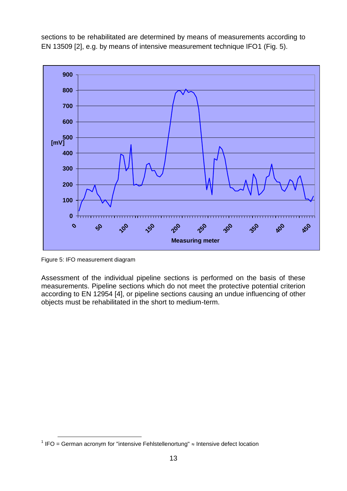sections to be rehabilitated are determined by means of measurements according to EN 13509 [2], e.g. by means of intensive measurement technique IFO1 (Fig. 5).



Figure 5: IFO measurement diagram

 $\overline{a}$ 

Assessment of the individual pipeline sections is performed on the basis of these measurements. Pipeline sections which do not meet the protective potential criterion according to EN 12954 [4], or pipeline sections causing an undue influencing of other objects must be rehabilitated in the short to medium-term.

IFO = German acronym for "intensive Fehlstellenortung"  $\approx$  Intensive defect location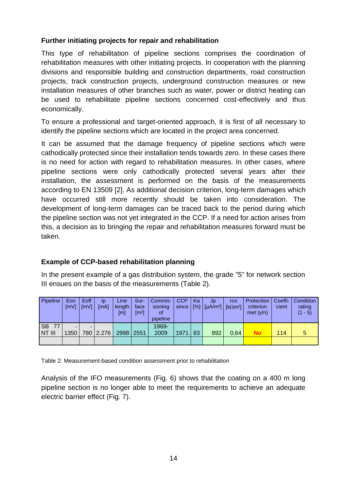## **Further initiating projects for repair and rehabilitation**

This type of rehabilitation of pipeline sections comprises the coordination of rehabilitation measures with other initiating projects. In cooperation with the planning divisions and responsible building and construction departments, road construction projects, track construction projects, underground construction measures or new installation measures of other branches such as water, power or district heating can be used to rehabilitate pipeline sections concerned cost-effectively and thus economically.

To ensure a professional and target-oriented approach, it is first of all necessary to identify the pipeline sections which are located in the project area concerned.

It can be assumed that the damage frequency of pipeline sections which were cathodically protected since their installation tends towards zero. In these cases there is no need for action with regard to rehabilitation measures. In other cases, where pipeline sections were only cathodically protected several years after their installation, the assessment is performed on the basis of the measurements according to EN 13509 [2]. As additional decision criterion, long-term damages which have occurred still more recently should be taken into consideration. The development of long-term damages can be traced back to the period during which the pipeline section was not yet integrated in the CCP. If a need for action arises from this, a decision as to bringing the repair and rehabilitation measures forward must be taken.

# **Example of CCP-based rehabilitation planning**

In the present example of a gas distribution system, the grade "5" for network section III ensues on the basis of the measurements (Table 2).

| Pipeline        | Eon<br>[mV] | Eoff<br><b>ImVI</b> | ID<br>[MA] | Line<br>length<br>[m] | Sur-<br>face<br>$\lceil m^2 \rceil$ | Commis-<br>sioning<br>οf<br>pipeline | <b>CCP</b><br>since | Ka<br>$\lceil \% \rceil$ | Jp<br>$\lceil \mu A/m^2 \rceil$ [kom <sup>2</sup> ] | rco  | Protection<br>criterion<br>met $(y/n)$ | Coeffi-<br>cient | Condition<br>rating<br>$(1 - 5)$ |
|-----------------|-------------|---------------------|------------|-----------------------|-------------------------------------|--------------------------------------|---------------------|--------------------------|-----------------------------------------------------|------|----------------------------------------|------------------|----------------------------------|
| <b>SB</b><br>77 | -           |                     |            |                       |                                     | 1969-                                |                     |                          |                                                     |      |                                        |                  |                                  |
| NT III          | 1350        | 780                 | 2.276      | 2998 2551             |                                     | 2009                                 | 1971                | 83                       | 892                                                 | 0.64 | No                                     | 114              | 5                                |
|                 |             |                     |            |                       |                                     |                                      |                     |                          |                                                     |      |                                        |                  |                                  |

Table 2: Measurement-based condition assessment prior to rehabilitation

Analysis of the IFO measurements (Fig. 6) shows that the coating on a 400 m long pipeline section is no longer able to meet the requirements to achieve an adequate electric barrier effect (Fig. 7).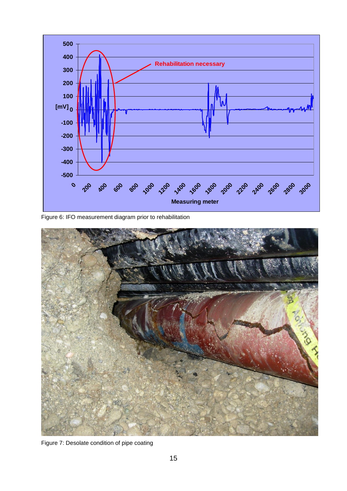

Figure 6: IFO measurement diagram prior to rehabilitation



Figure 7: Desolate condition of pipe coating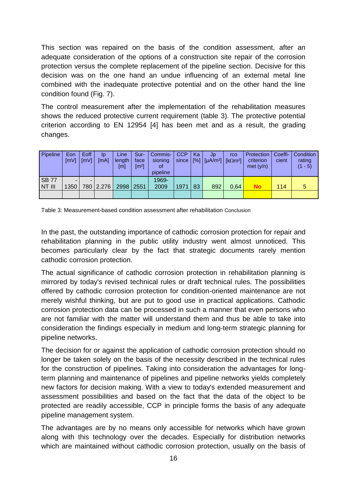This section was repaired on the basis of the condition assessment, after an adequate consideration of the options of a construction site repair of the corrosion protection versus the complete replacement of the pipeline section. Decisive for this decision was on the one hand an undue influencing of an external metal line combined with the inadequate protective potential and on the other hand the line condition found (Fig. 7).

The control measurement after the implementation of the rehabilitation measures shows the reduced protective current requirement (table 3). The protective potential criterion according to EN 12954 [4] has been met and as a result, the grading changes.

| <b>Pipeline</b>        | Eon<br>[mV] | Eoff<br><b>ImVI</b> | ID<br>[mA] | Line<br>length<br>[m] | Sur-<br>face<br>$\left[\text{m}^2\right]$ | Commis-<br>sioning<br><b>of</b><br>pipeline | <b>CCP</b><br>since | Ka<br>[%] | Jp<br>$\left[\mu A/m^2\right]$ | rco<br>[kΩm <sup>2</sup> ] | Protection<br>criterion<br>met $(y/n)$ | Coeffi-<br>cient | Condition<br>rating<br>(1 - 5) |
|------------------------|-------------|---------------------|------------|-----------------------|-------------------------------------------|---------------------------------------------|---------------------|-----------|--------------------------------|----------------------------|----------------------------------------|------------------|--------------------------------|
| <b>SB 77</b><br>NT III | 1350        | 780                 | 2.276      | 2998                  | 2551                                      | 1969-<br>2009                               | 1971                | 83        | 892                            | 0.64                       | <b>No</b>                              | 114              |                                |
|                        |             |                     |            |                       |                                           |                                             |                     |           |                                |                            |                                        |                  |                                |

Table 3: Measurement-based condition assessment after rehabilitation Conclusion

In the past, the outstanding importance of cathodic corrosion protection for repair and rehabilitation planning in the public utility industry went almost unnoticed. This becomes particularly clear by the fact that strategic documents rarely mention cathodic corrosion protection.

The actual significance of cathodic corrosion protection in rehabilitation planning is mirrored by today's revised technical rules or draft technical rules. The possibilities offered by cathodic corrosion protection for condition-oriented maintenance are not merely wishful thinking, but are put to good use in practical applications. Cathodic corrosion protection data can be processed in such a manner that even persons who are not familiar with the matter will understand them and thus be able to take into consideration the findings especially in medium and long-term strategic planning for pipeline networks.

The decision for or against the application of cathodic corrosion protection should no longer be taken solely on the basis of the necessity described in the technical rules for the construction of pipelines. Taking into consideration the advantages for longterm planning and maintenance of pipelines and pipeline networks yields completely new factors for decision making. With a view to today's extended measurement and assessment possibilities and based on the fact that the data of the object to be protected are readily accessible, CCP in principle forms the basis of any adequate pipeline management system.

The advantages are by no means only accessible for networks which have grown along with this technology over the decades. Especially for distribution networks which are maintained without cathodic corrosion protection, usually on the basis of